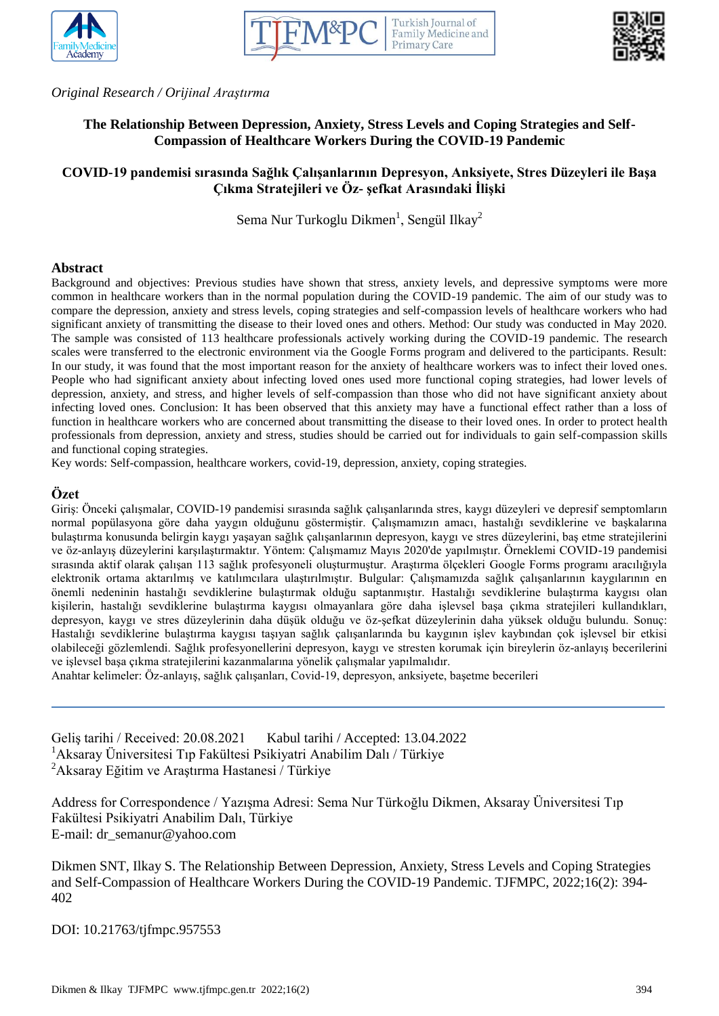





*Original Research / Orijinal Araştırma*

# **The Relationship Between Depression, Anxiety, Stress Levels and Coping Strategies and Self-Compassion of Healthcare Workers During the COVID-19 Pandemic**

# **COVID-19 pandemisi sırasında Sağlık Çalışanlarının Depresyon, Anksiyete, Stres Düzeyleri ile Başa Çıkma Stratejileri ve Öz- şefkat Arasındaki İlişki**

Sema Nur Turkoglu Dikmen<sup>1</sup>, Sengül Ilkay<sup>2</sup>

## **Abstract**

Background and objectives: Previous studies have shown that stress, anxiety levels, and depressive symptoms were more common in healthcare workers than in the normal population during the COVID-19 pandemic. The aim of our study was to compare the depression, anxiety and stress levels, coping strategies and self-compassion levels of healthcare workers who had significant anxiety of transmitting the disease to their loved ones and others. Method: Our study was conducted in May 2020. The sample was consisted of 113 healthcare professionals actively working during the COVID-19 pandemic. The research scales were transferred to the electronic environment via the Google Forms program and delivered to the participants. Result: In our study, it was found that the most important reason for the anxiety of healthcare workers was to infect their loved ones. People who had significant anxiety about infecting loved ones used more functional coping strategies, had lower levels of depression, anxiety, and stress, and higher levels of self-compassion than those who did not have significant anxiety about infecting loved ones. Conclusion: It has been observed that this anxiety may have a functional effect rather than a loss of function in healthcare workers who are concerned about transmitting the disease to their loved ones. In order to protect health professionals from depression, anxiety and stress, studies should be carried out for individuals to gain self-compassion skills and functional coping strategies.

Key words: Self-compassion, healthcare workers, covid-19, depression, anxiety, coping strategies.

## **Özet**

Giriş: Önceki çalışmalar, COVID-19 pandemisi sırasında sağlık çalışanlarında stres, kaygı düzeyleri ve depresif semptomların normal popülasyona göre daha yaygın olduğunu göstermiştir. Çalışmamızın amacı, hastalığı sevdiklerine ve başkalarına bulaştırma konusunda belirgin kaygı yaşayan sağlık çalışanlarının depresyon, kaygı ve stres düzeylerini, baş etme stratejilerini ve öz-anlayış düzeylerini karşılaştırmaktır. Yöntem: Çalışmamız Mayıs 2020'de yapılmıştır. Örneklemi COVID-19 pandemisi sırasında aktif olarak çalışan 113 sağlık profesyoneli oluşturmuştur. Araştırma ölçekleri Google Forms programı aracılığıyla elektronik ortama aktarılmış ve katılımcılara ulaştırılmıştır. Bulgular: Çalışmamızda sağlık çalışanlarının kaygılarının en önemli nedeninin hastalığı sevdiklerine bulaştırmak olduğu saptanmıştır. Hastalığı sevdiklerine bulaştırma kaygısı olan kişilerin, hastalığı sevdiklerine bulaştırma kaygısı olmayanlara göre daha işlevsel başa çıkma stratejileri kullandıkları, depresyon, kaygı ve stres düzeylerinin daha düşük olduğu ve öz-şefkat düzeylerinin daha yüksek olduğu bulundu. Sonuç: Hastalığı sevdiklerine bulaştırma kaygısı taşıyan sağlık çalışanlarında bu kaygının işlev kaybından çok işlevsel bir etkisi olabileceği gözlemlendi. Sağlık profesyonellerini depresyon, kaygı ve stresten korumak için bireylerin öz-anlayış becerilerini ve işlevsel başa çıkma stratejilerini kazanmalarına yönelik çalışmalar yapılmalıdır.

Anahtar kelimeler: Öz-anlayış, sağlık çalışanları, Covid-19, depresyon, anksiyete, başetme becerileri

Geliş tarihi / Received: 20.08.2021 Kabul tarihi / Accepted: 13.04.2022 <sup>1</sup>Aksaray Üniversitesi Tıp Fakültesi Psikiyatri Anabilim Dalı / Türkiye <sup>2</sup>Aksaray Eğitim ve Araştırma Hastanesi / Türkiye

Address for Correspondence / Yazışma Adresi: Sema Nur Türkoğlu Dikmen, Aksaray Üniversitesi Tıp Fakültesi Psikiyatri Anabilim Dalı, Türkiye E-mail: dr\_semanur@yahoo.com

Dikmen SNT, Ilkay S. The Relationship Between Depression, Anxiety, Stress Levels and Coping Strategies and Self-Compassion of Healthcare Workers During the COVID-19 Pandemic. TJFMPC, 2022;16(2): 394- 402

DOI: 10.21763/tjfmpc.957553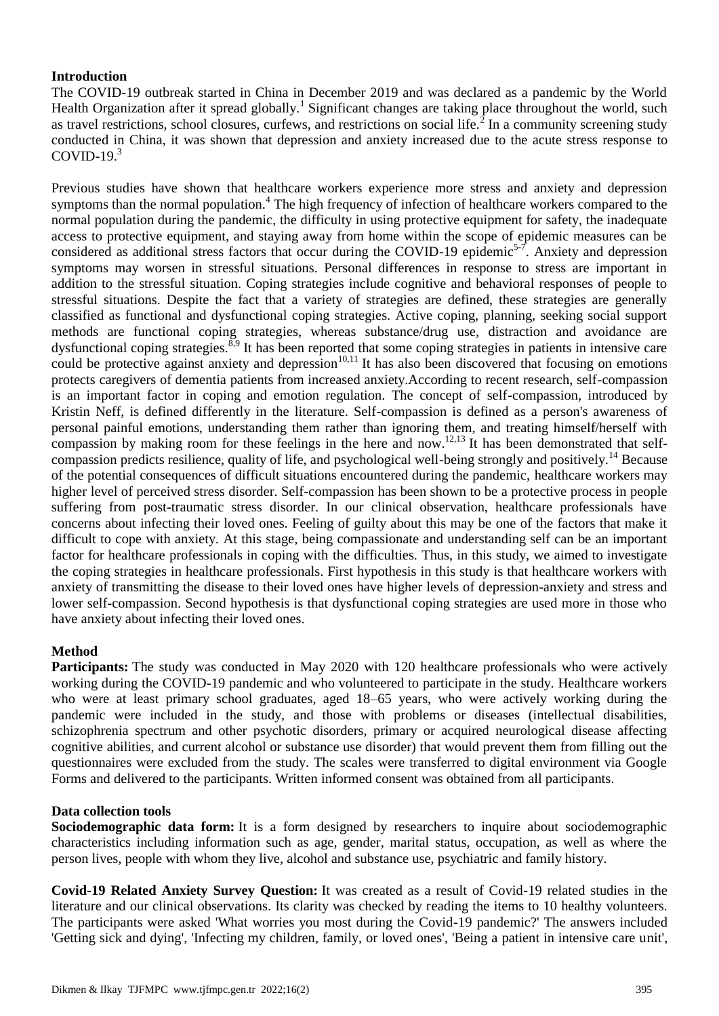# **Introduction**

The COVID-19 outbreak started in China in December 2019 and was declared as a pandemic by the World Health Organization after it spread globally.<sup>1</sup> Significant changes are taking place throughout the world, such as travel restrictions, school closures, curfews, and restrictions on social life.<sup>2</sup> In a community screening study conducted in China, it was shown that depression and anxiety increased due to the acute stress response to COVID-19 $<sup>3</sup>$ </sup>

Previous studies have shown that healthcare workers experience more stress and anxiety and depression symptoms than the normal population.<sup>4</sup> The high frequency of infection of healthcare workers compared to the normal population during the pandemic, the difficulty in using protective equipment for safety, the inadequate access to protective equipment, and staying away from home within the scope of epidemic measures can be considered as additional stress factors that occur during the COVID-19 epidemic<sup>5-7</sup>. Anxiety and depression symptoms may worsen in stressful situations. Personal differences in response to stress are important in addition to the stressful situation. Coping strategies include cognitive and behavioral responses of people to stressful situations. Despite the fact that a variety of strategies are defined, these strategies are generally classified as functional and dysfunctional coping strategies. Active coping, planning, seeking social support methods are functional coping strategies, whereas substance/drug use, distraction and avoidance are dysfunctional coping strategies. $\frac{8,9}{9}$  It has been reported that some coping strategies in patients in intensive care could be protective against anxiety and depression $10,11$  It has also been discovered that focusing on emotions protects caregivers of dementia patients from increased anxiety.According to recent research, self-compassion is an important factor in coping and emotion regulation. The concept of self-compassion, introduced by Kristin Neff, is defined differently in the literature. Self-compassion is defined as a person's awareness of personal painful emotions, understanding them rather than ignoring them, and treating himself/herself with compassion by making room for these feelings in the here and now.<sup>12,13</sup> It has been demonstrated that selfcompassion predicts resilience, quality of life, and psychological well-being strongly and positively.<sup>14</sup> Because of the potential consequences of difficult situations encountered during the pandemic, healthcare workers may higher level of perceived stress disorder. Self-compassion has been shown to be a protective process in people suffering from post-traumatic stress disorder. In our clinical observation, healthcare professionals have concerns about infecting their loved ones. Feeling of guilty about this may be one of the factors that make it difficult to cope with anxiety. At this stage, being compassionate and understanding self can be an important factor for healthcare professionals in coping with the difficulties. Thus, in this study, we aimed to investigate the coping strategies in healthcare professionals. First hypothesis in this study is that healthcare workers with anxiety of transmitting the disease to their loved ones have higher levels of depression-anxiety and stress and lower self-compassion. Second hypothesis is that dysfunctional coping strategies are used more in those who have anxiety about infecting their loved ones.

# **Method**

**Participants:** The study was conducted in May 2020 with 120 healthcare professionals who were actively working during the COVID-19 pandemic and who volunteered to participate in the study. Healthcare workers who were at least primary school graduates, aged 18–65 years, who were actively working during the pandemic were included in the study, and those with problems or diseases (intellectual disabilities, schizophrenia spectrum and other psychotic disorders, primary or acquired neurological disease affecting cognitive abilities, and current alcohol or substance use disorder) that would prevent them from filling out the questionnaires were excluded from the study. The scales were transferred to digital environment via Google Forms and delivered to the participants. Written informed consent was obtained from all participants.

# **Data collection tools**

**Sociodemographic data form:** It is a form designed by researchers to inquire about sociodemographic characteristics including information such as age, gender, marital status, occupation, as well as where the person lives, people with whom they live, alcohol and substance use, psychiatric and family history.

**Covid-19 Related Anxiety Survey Question:** It was created as a result of Covid-19 related studies in the literature and our clinical observations. Its clarity was checked by reading the items to 10 healthy volunteers. The participants were asked 'What worries you most during the Covid-19 pandemic?' The answers included 'Getting sick and dying', 'Infecting my children, family, or loved ones', 'Being a patient in intensive care unit',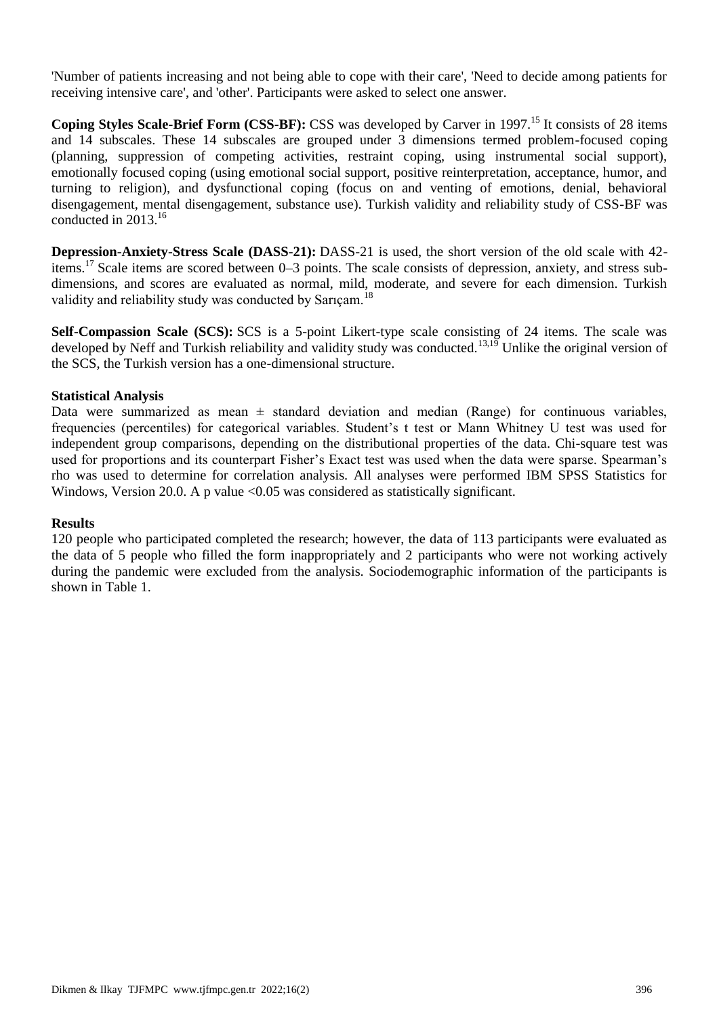'Number of patients increasing and not being able to cope with their care', 'Need to decide among patients for receiving intensive care', and 'other'. Participants were asked to select one answer.

**Coping Styles Scale-Brief Form (CSS-BF):** CSS was developed by Carver in 1997.<sup>15</sup> It consists of 28 items and 14 subscales. These 14 subscales are grouped under 3 dimensions termed problem-focused coping (planning, suppression of competing activities, restraint coping, using instrumental social support), emotionally focused coping (using emotional social support, positive reinterpretation, acceptance, humor, and turning to religion), and dysfunctional coping (focus on and venting of emotions, denial, behavioral disengagement, mental disengagement, substance use). Turkish validity and reliability study of CSS-BF was conducted in 2013.<sup>16</sup>

**Depression-Anxiety-Stress Scale (DASS-21):** DASS-21 is used, the short version of the old scale with 42 items.<sup>17</sup> Scale items are scored between 0–3 points. The scale consists of depression, anxiety, and stress subdimensions, and scores are evaluated as normal, mild, moderate, and severe for each dimension. Turkish validity and reliability study was conducted by Sarıçam.<sup>18</sup>

**Self-Compassion Scale (SCS):** SCS is a 5-point Likert-type scale consisting of 24 items. The scale was developed by Neff and Turkish reliability and validity study was conducted.<sup>13,19</sup> Unlike the original version of the SCS, the Turkish version has a one-dimensional structure.

## **Statistical Analysis**

Data were summarized as mean  $\pm$  standard deviation and median (Range) for continuous variables, frequencies (percentiles) for categorical variables. Student's t test or Mann Whitney U test was used for independent group comparisons, depending on the distributional properties of the data. Chi-square test was used for proportions and its counterpart Fisher's Exact test was used when the data were sparse. Spearman's rho was used to determine for correlation analysis. All analyses were performed IBM SPSS Statistics for Windows, Version 20.0. A p value  $\langle 0.05 \rangle$  was considered as statistically significant.

#### **Results**

120 people who participated completed the research; however, the data of 113 participants were evaluated as the data of 5 people who filled the form inappropriately and 2 participants who were not working actively during the pandemic were excluded from the analysis. Sociodemographic information of the participants is shown in Table 1.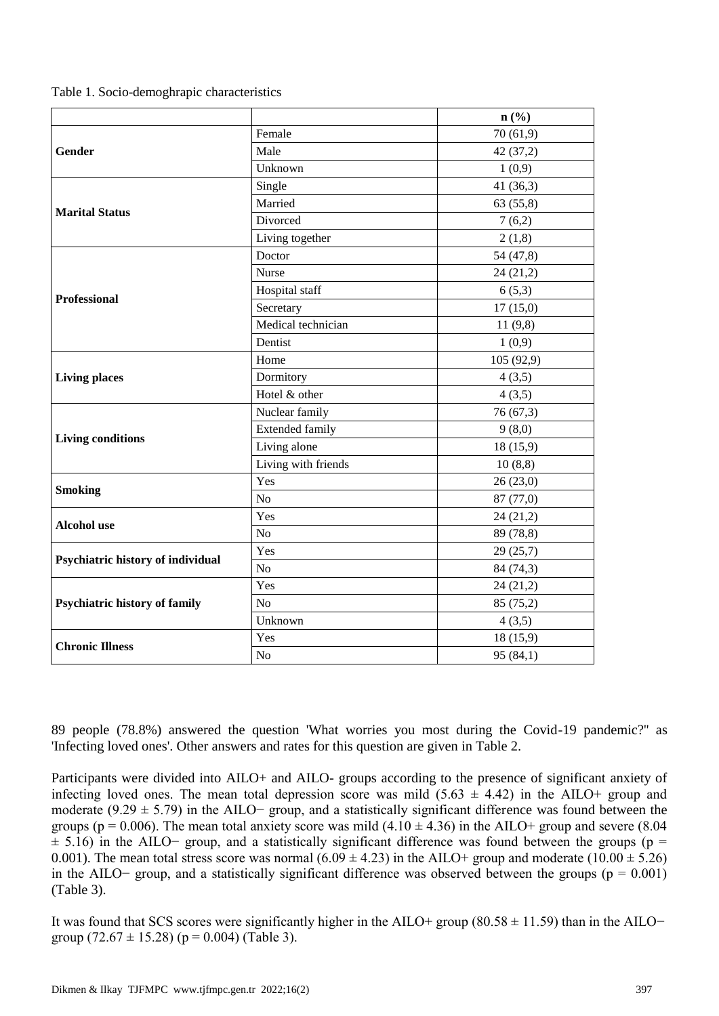|  |  |  | Table 1. Socio-demoghrapic characteristics |
|--|--|--|--------------------------------------------|
|--|--|--|--------------------------------------------|

|                                   |                        | $n\left(\frac{0}{0}\right)$ |
|-----------------------------------|------------------------|-----------------------------|
|                                   | Female                 | 70(61,9)                    |
| Gender                            | Male                   | 42 (37,2)                   |
|                                   | Unknown                | 1(0,9)                      |
|                                   | Single                 | 41(36,3)                    |
| <b>Marital Status</b>             | Married                | 63(55,8)                    |
|                                   | Divorced               | 7(6,2)                      |
|                                   | Living together        | 2(1,8)                      |
|                                   | Doctor                 | 54 (47,8)                   |
|                                   | Nurse                  | 24 (21,2)                   |
|                                   | Hospital staff         | 6(5,3)                      |
| <b>Professional</b>               | Secretary              | 17(15,0)                    |
|                                   | Medical technician     | 11(9,8)                     |
|                                   | Dentist                | 1(0,9)                      |
|                                   | Home                   | 105 (92,9)                  |
| <b>Living places</b>              | Dormitory              | 4(3,5)                      |
|                                   | Hotel & other          | 4(3,5)                      |
|                                   | Nuclear family         | 76 (67,3)                   |
|                                   | <b>Extended family</b> | 9(8,0)                      |
| <b>Living conditions</b>          | Living alone           | 18 (15,9)                   |
|                                   | Living with friends    | 10(8,8)                     |
| <b>Smoking</b>                    | Yes                    | 26(23,0)                    |
|                                   | N <sub>o</sub>         | 87 (77,0)                   |
| <b>Alcohol</b> use                | Yes                    | 24(21,2)                    |
|                                   | N <sub>o</sub>         | 89 (78,8)                   |
|                                   | Yes                    | 29 (25,7)                   |
| Psychiatric history of individual | N <sub>o</sub>         | 84 (74,3)                   |
|                                   | Yes                    | 24 (21,2)                   |
| Psychiatric history of family     | N <sub>o</sub>         | 85 (75,2)                   |
|                                   | Unknown                | 4(3,5)                      |
|                                   | Yes                    | 18(15,9)                    |
| <b>Chronic Illness</b>            | N <sub>o</sub>         | 95(84,1)                    |

89 people (78.8%) answered the question 'What worries you most during the Covid-19 pandemic?'' as 'Infecting loved ones'. Other answers and rates for this question are given in Table 2.

Participants were divided into AILO+ and AILO- groups according to the presence of significant anxiety of infecting loved ones. The mean total depression score was mild  $(5.63 \pm 4.42)$  in the AILO+ group and moderate (9.29  $\pm$  5.79) in the AILO− group, and a statistically significant difference was found between the groups (p = 0.006). The mean total anxiety score was mild  $(4.10 \pm 4.36)$  in the AILO+ group and severe (8.04)  $\pm$  5.16) in the AILO− group, and a statistically significant difference was found between the groups (p = 0.001). The mean total stress score was normal  $(6.09 \pm 4.23)$  in the AILO+ group and moderate  $(10.00 \pm 5.26)$ in the AILO− group, and a statistically significant difference was observed between the groups ( $p = 0.001$ ) (Table 3).

It was found that SCS scores were significantly higher in the AILO+ group (80.58 ± 11.59) than in the AILO− group  $(72.67 \pm 15.28)$  (p = 0.004) (Table 3).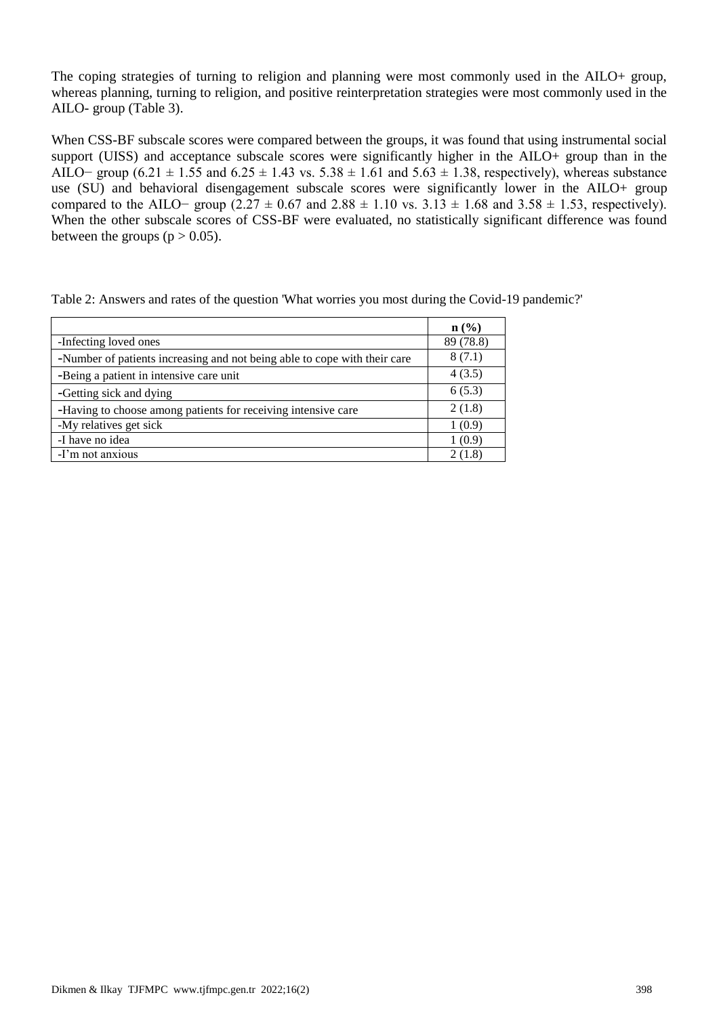The coping strategies of turning to religion and planning were most commonly used in the AILO+ group, whereas planning, turning to religion, and positive reinterpretation strategies were most commonly used in the AILO- group (Table 3).

When CSS-BF subscale scores were compared between the groups, it was found that using instrumental social support (UISS) and acceptance subscale scores were significantly higher in the AILO+ group than in the AILO− group (6.21  $\pm$  1.55 and 6.25  $\pm$  1.43 vs. 5.38  $\pm$  1.61 and 5.63  $\pm$  1.38, respectively), whereas substance use (SU) and behavioral disengagement subscale scores were significantly lower in the AILO+ group compared to the AILO− group (2.27  $\pm$  0.67 and 2.88  $\pm$  1.10 vs. 3.13  $\pm$  1.68 and 3.58  $\pm$  1.53, respectively). When the other subscale scores of CSS-BF were evaluated, no statistically significant difference was found between the groups ( $p > 0.05$ ).

| Table 2: Answers and rates of the question 'What worries you most during the Covid-19 pandemic?' |  |  |  |
|--------------------------------------------------------------------------------------------------|--|--|--|
|--------------------------------------------------------------------------------------------------|--|--|--|

|                                                                           | $\mathbf{n}(\%)$ |
|---------------------------------------------------------------------------|------------------|
| -Infecting loved ones                                                     | 89 (78.8)        |
| -Number of patients increasing and not being able to cope with their care | 8(7.1)           |
| -Being a patient in intensive care unit                                   | 4(3.5)           |
| -Getting sick and dying                                                   | 6(5.3)           |
| -Having to choose among patients for receiving intensive care             | 2(1.8)           |
| -My relatives get sick                                                    | 1(0.9)           |
| -I have no idea                                                           | 1 (0.9)          |
| -I'm not anxious                                                          | 2 (1.8)          |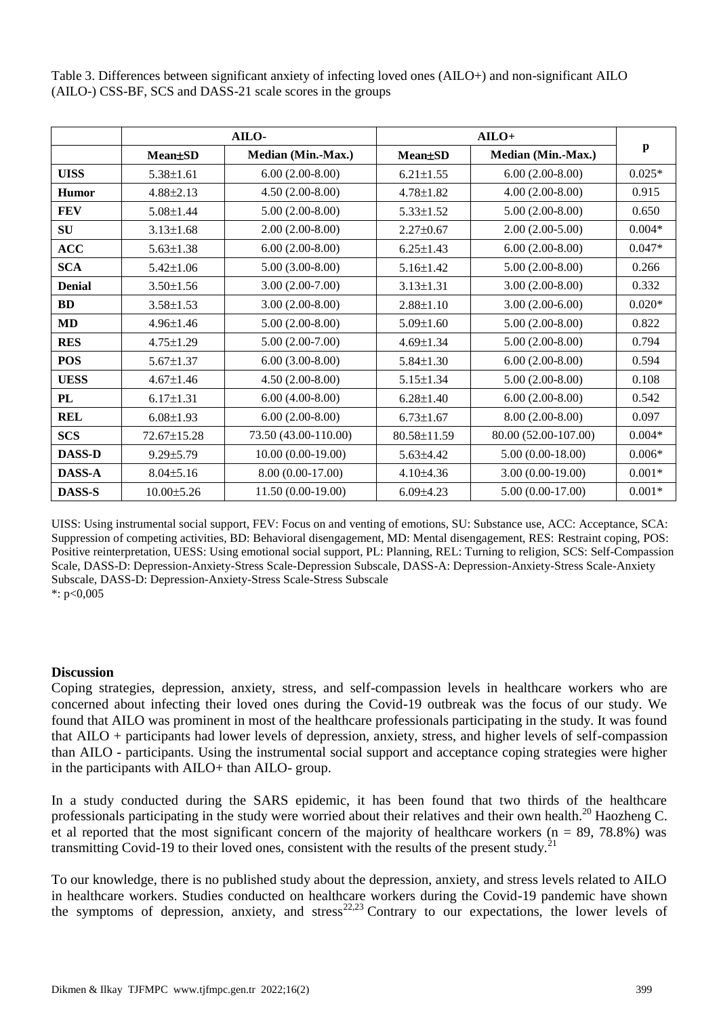Table 3. Differences between significant anxiety of infecting loved ones (AILO+) and non-significant AILO (AILO-) CSS-BF, SCS and DASS-21 scale scores in the groups

|               | AILO-            |                      | $AILO+$         |                           |          |
|---------------|------------------|----------------------|-----------------|---------------------------|----------|
|               | <b>Mean</b> ±SD  | Median (Min.-Max.)   | <b>Mean</b> ±SD | <b>Median (Min.-Max.)</b> | p        |
| <b>UISS</b>   | $5.38 \pm 1.61$  | $6.00(2.00-8.00)$    | $6.21 \pm 1.55$ | $6.00(2.00-8.00)$         | $0.025*$ |
| <b>Humor</b>  | $4.88 \pm 2.13$  | $4.50(2.00-8.00)$    | $4.78 \pm 1.82$ | $4.00(2.00-8.00)$         | 0.915    |
| <b>FEV</b>    | $5.08 \pm 1.44$  | $5.00(2.00-8.00)$    | $5.33 \pm 1.52$ | $5.00(2.00-8.00)$         | 0.650    |
| SU            | $3.13 \pm 1.68$  | $2.00(2.00-8.00)$    | $2.27 \pm 0.67$ | $2.00(2.00-5.00)$         | $0.004*$ |
| ACC           | $5.63 \pm 1.38$  | $6.00(2.00-8.00)$    | $6.25 \pm 1.43$ | $6.00(2.00-8.00)$         | $0.047*$ |
| <b>SCA</b>    | $5.42 \pm 1.06$  | $5.00(3.00-8.00)$    | $5.16 \pm 1.42$ | $5.00(2.00-8.00)$         | 0.266    |
| <b>Denial</b> | $3.50 \pm 1.56$  | $3.00(2.00-7.00)$    | $3.13 \pm 1.31$ | $3.00(2.00-8.00)$         | 0.332    |
| <b>BD</b>     | $3.58 \pm 1.53$  | $3.00(2.00-8.00)$    | $2.88 \pm 1.10$ | $3.00(2.00-6.00)$         | $0.020*$ |
| <b>MD</b>     | $4.96 \pm 1.46$  | $5.00(2.00-8.00)$    | $5.09 \pm 1.60$ | $5.00(2.00-8.00)$         | 0.822    |
| <b>RES</b>    | $4.75 \pm 1.29$  | $5.00(2.00-7.00)$    | $4.69 \pm 1.34$ | $5.00(2.00-8.00)$         | 0.794    |
| <b>POS</b>    | $5.67 \pm 1.37$  | $6.00(3.00-8.00)$    | $5.84 \pm 1.30$ | $6.00(2.00-8.00)$         | 0.594    |
| <b>UESS</b>   | $4.67 \pm 1.46$  | $4.50(2.00-8.00)$    | $5.15 \pm 1.34$ | $5.00(2.00-8.00)$         | 0.108    |
| PL            | $6.17 \pm 1.31$  | $6.00(4.00-8.00)$    | $6.28 \pm 1.40$ | $6.00(2.00-8.00)$         | 0.542    |
| <b>REL</b>    | $6.08 \pm 1.93$  | $6.00(2.00-8.00)$    | $6.73 \pm 1.67$ | $8.00(2.00-8.00)$         | 0.097    |
| <b>SCS</b>    | 72.67±15.28      | 73.50 (43.00-110.00) | 80.58±11.59     | 80.00 (52.00-107.00)      | $0.004*$ |
| <b>DASS-D</b> | $9.29 \pm 5.79$  | $10.00(0.00-19.00)$  | $5.63{\pm}4.42$ | $5.00(0.00-18.00)$        | $0.006*$ |
| <b>DASS-A</b> | $8.04 \pm 5.16$  | 8.00 (0.00-17.00)    | $4.10{\pm}4.36$ | $3.00(0.00-19.00)$        | $0.001*$ |
| DASS-S        | $10.00 \pm 5.26$ | 11.50 (0.00-19.00)   | $6.09{\pm}4.23$ | $5.00(0.00-17.00)$        | $0.001*$ |

UISS: Using instrumental social support, FEV: Focus on and venting of emotions, SU: Substance use, ACC: Acceptance, SCA: Suppression of competing activities, BD: Behavioral disengagement, MD: Mental disengagement, RES: Restraint coping, POS: Positive reinterpretation, UESS: Using emotional social support, PL: Planning, REL: Turning to religion, SCS: Self-Compassion Scale, DASS-D: Depression-Anxiety-Stress Scale-Depression Subscale, DASS-A: Depression-Anxiety-Stress Scale-Anxiety Subscale, DASS-D: Depression-Anxiety-Stress Scale-Stress Subscale \*:  $p<0,005$ 

#### **Discussion**

Coping strategies, depression, anxiety, stress, and self-compassion levels in healthcare workers who are concerned about infecting their loved ones during the Covid-19 outbreak was the focus of our study. We found that AILO was prominent in most of the healthcare professionals participating in the study. It was found that AILO + participants had lower levels of depression, anxiety, stress, and higher levels of self-compassion than AILO - participants. Using the instrumental social support and acceptance coping strategies were higher in the participants with AILO+ than AILO- group.

In a study conducted during the SARS epidemic, it has been found that two thirds of the healthcare professionals participating in the study were worried about their relatives and their own health.<sup>20</sup> Haozheng C. et al reported that the most significant concern of the majority of healthcare workers ( $n = 89, 78.8\%$ ) was transmitting Covid-19 to their loved ones, consistent with the results of the present study.<sup>21</sup>

To our knowledge, there is no published study about the depression, anxiety, and stress levels related to AILO in healthcare workers. Studies conducted on healthcare workers during the Covid-19 pandemic have shown the symptoms of depression, anxiety, and stress<sup>22,23</sup> Contrary to our expectations, the lower levels of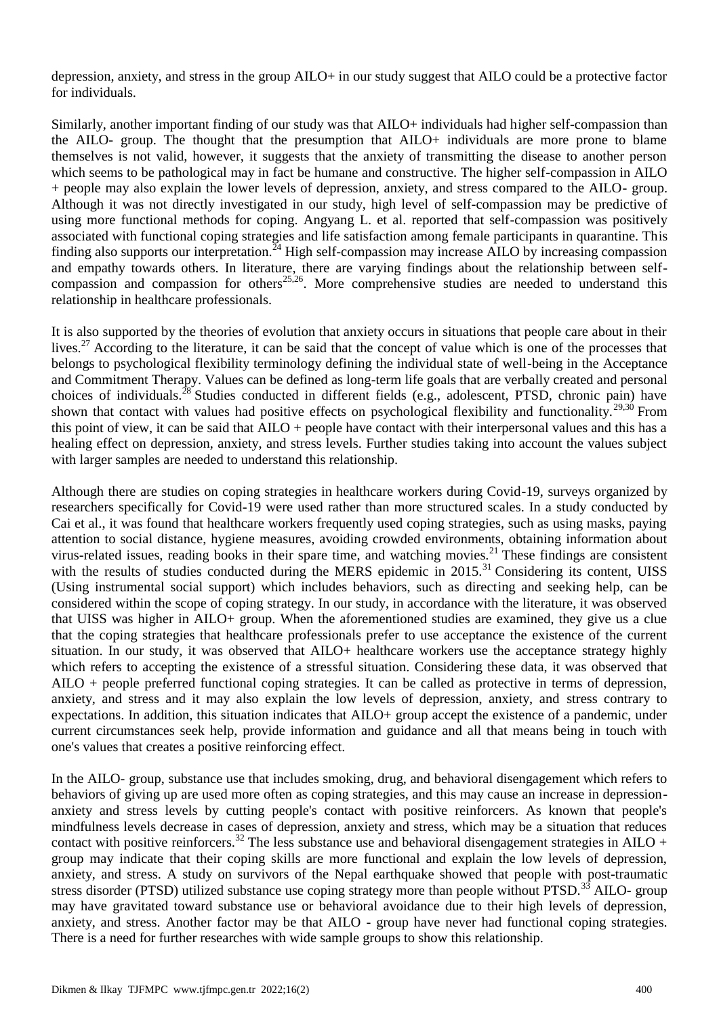depression, anxiety, and stress in the group AILO+ in our study suggest that AILO could be a protective factor for individuals.

Similarly, another important finding of our study was that AILO+ individuals had higher self-compassion than the AILO- group. The thought that the presumption that AILO+ individuals are more prone to blame themselves is not valid, however, it suggests that the anxiety of transmitting the disease to another person which seems to be pathological may in fact be humane and constructive. The higher self-compassion in AILO + people may also explain the lower levels of depression, anxiety, and stress compared to the AILO- group. Although it was not directly investigated in our study, high level of self-compassion may be predictive of using more functional methods for coping. Angyang L. et al. reported that self-compassion was positively associated with functional coping strategies and life satisfaction among female participants in quarantine. This finding also supports our interpretation.<sup>24</sup> High self-compassion may increase AILO by increasing compassion and empathy towards others. In literature, there are varying findings about the relationship between selfcompassion and compassion for others<sup>25,26</sup>. More comprehensive studies are needed to understand this relationship in healthcare professionals.

It is also supported by the theories of evolution that anxiety occurs in situations that people care about in their lives.<sup>27</sup> According to the literature, it can be said that the concept of value which is one of the processes that belongs to psychological flexibility terminology defining the individual state of well-being in the Acceptance and Commitment Therapy. Values can be defined as long-term life goals that are verbally created and personal choices of individuals.<sup>28</sup> Studies conducted in different fields (e.g., adolescent, PTSD, chronic pain) have shown that contact with values had positive effects on psychological flexibility and functionality.<sup>29,30</sup> From this point of view, it can be said that AILO + people have contact with their interpersonal values and this has a healing effect on depression, anxiety, and stress levels. Further studies taking into account the values subject with larger samples are needed to understand this relationship.

Although there are studies on coping strategies in healthcare workers during Covid-19, surveys organized by researchers specifically for Covid-19 were used rather than more structured scales. In a study conducted by Cai et al., it was found that healthcare workers frequently used coping strategies, such as using masks, paying attention to social distance, hygiene measures, avoiding crowded environments, obtaining information about virus-related issues, reading books in their spare time, and watching movies.<sup>21</sup> These findings are consistent with the results of studies conducted during the MERS epidemic in  $2015$ .<sup>31</sup> Considering its content, UISS (Using instrumental social support) which includes behaviors, such as directing and seeking help, can be considered within the scope of coping strategy. In our study, in accordance with the literature, it was observed that UISS was higher in AILO+ group. When the aforementioned studies are examined, they give us a clue that the coping strategies that healthcare professionals prefer to use acceptance the existence of the current situation. In our study, it was observed that AILO+ healthcare workers use the acceptance strategy highly which refers to accepting the existence of a stressful situation. Considering these data, it was observed that AILO + people preferred functional coping strategies. It can be called as protective in terms of depression, anxiety, and stress and it may also explain the low levels of depression, anxiety, and stress contrary to expectations. In addition, this situation indicates that AILO+ group accept the existence of a pandemic, under current circumstances seek help, provide information and guidance and all that means being in touch with one's values that creates a positive reinforcing effect.

In the AILO- group, substance use that includes smoking, drug, and behavioral disengagement which refers to behaviors of giving up are used more often as coping strategies, and this may cause an increase in depressionanxiety and stress levels by cutting people's contact with positive reinforcers. As known that people's mindfulness levels decrease in cases of depression, anxiety and stress, which may be a situation that reduces contact with positive reinforcers.<sup>32</sup> The less substance use and behavioral disengagement strategies in AILO + group may indicate that their coping skills are more functional and explain the low levels of depression, anxiety, and stress. A study on survivors of the Nepal earthquake showed that people with post-traumatic stress disorder (PTSD) utilized substance use coping strategy more than people without PTSD.<sup>35</sup> AILO- group may have gravitated toward substance use or behavioral avoidance due to their high levels of depression, anxiety, and stress. Another factor may be that AILO - group have never had functional coping strategies. There is a need for further researches with wide sample groups to show this relationship.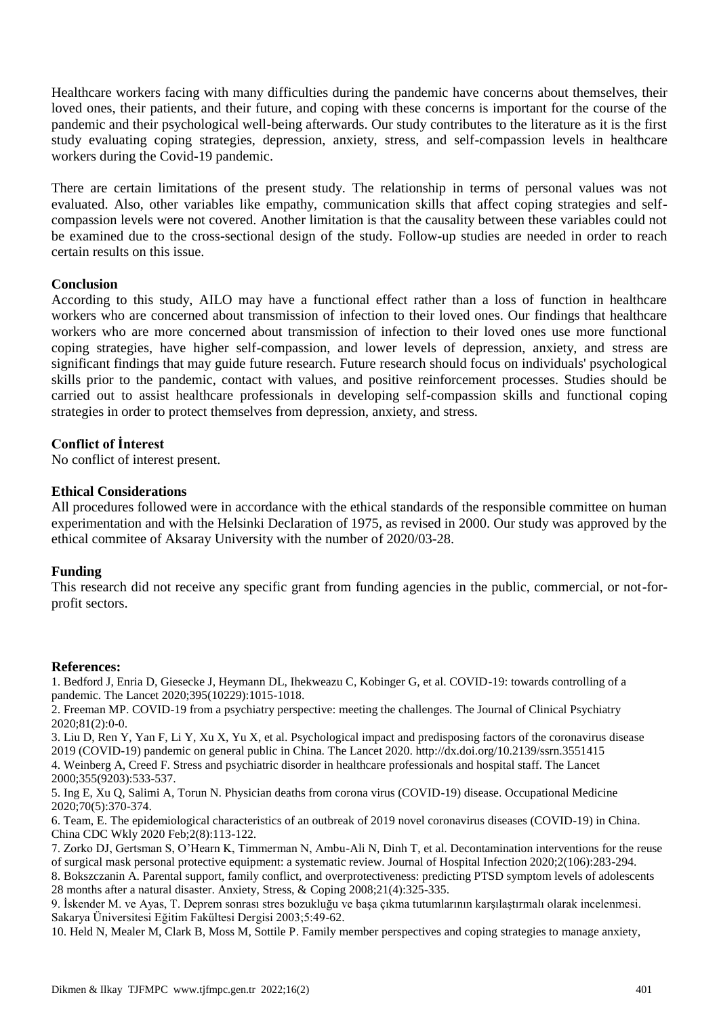Healthcare workers facing with many difficulties during the pandemic have concerns about themselves, their loved ones, their patients, and their future, and coping with these concerns is important for the course of the pandemic and their psychological well-being afterwards. Our study contributes to the literature as it is the first study evaluating coping strategies, depression, anxiety, stress, and self-compassion levels in healthcare workers during the Covid-19 pandemic.

There are certain limitations of the present study. The relationship in terms of personal values was not evaluated. Also, other variables like empathy, communication skills that affect coping strategies and selfcompassion levels were not covered. Another limitation is that the causality between these variables could not be examined due to the cross-sectional design of the study. Follow-up studies are needed in order to reach certain results on this issue.

## **Conclusion**

According to this study, AILO may have a functional effect rather than a loss of function in healthcare workers who are concerned about transmission of infection to their loved ones. Our findings that healthcare workers who are more concerned about transmission of infection to their loved ones use more functional coping strategies, have higher self-compassion, and lower levels of depression, anxiety, and stress are significant findings that may guide future research. Future research should focus on individuals' psychological skills prior to the pandemic, contact with values, and positive reinforcement processes. Studies should be carried out to assist healthcare professionals in developing self-compassion skills and functional coping strategies in order to protect themselves from depression, anxiety, and stress.

## **Conflict of İnterest**

No conflict of interest present.

#### **Ethical Considerations**

All procedures followed were in accordance with the ethical standards of the responsible committee on human experimentation and with the Helsinki Declaration of 1975, as revised in 2000. Our study was approved by the ethical commitee of Aksaray University with the number of 2020/03-28.

#### **Funding**

This research did not receive any specific grant from funding agencies in the public, commercial, or not-forprofit sectors.

#### **References:**

1. Bedford J, Enria D, Giesecke J, Heymann DL, Ihekweazu C, Kobinger G, et al. COVID-19: towards controlling of a pandemic. The Lancet 2020;395(10229):1015-1018.

2. Freeman MP. COVID-19 from a psychiatry perspective: meeting the challenges. The Journal of Clinical Psychiatry 2020;81(2):0-0.

3. Liu D, Ren Y, Yan F, Li Y, Xu X, Yu X, et al. Psychological impact and predisposing factors of the coronavirus disease 2019 (COVID-19) pandemic on general public in China. The Lancet 2020. http://dx.doi.org/10.2139/ssrn.3551415 4. Weinberg A, Creed F. Stress and psychiatric disorder in healthcare professionals and hospital staff. The Lancet 2000;355(9203):533-537.

5. Ing E, Xu Q, Salimi A, Torun N. Physician deaths from corona virus (COVID-19) disease. Occupational Medicine 2020;70(5):370-374.

6. Team, E. The epidemiological characteristics of an outbreak of 2019 novel coronavirus diseases (COVID-19) in China. China CDC Wkly 2020 Feb;2(8):113-122.

7. Zorko DJ, Gertsman S, O'Hearn K, Timmerman N, Ambu-Ali N, Dinh T, et al. Decontamination interventions for the reuse of surgical mask personal protective equipment: a systematic review. Journal of Hospital Infection 2020;2(106):283-294.

8. Bokszczanin A. Parental support, family conflict, and overprotectiveness: predicting PTSD symptom levels of adolescents 28 months after a natural disaster. Anxiety, Stress, & Coping 2008;21(4):325-335.

9. İskender M. ve Ayas, T. Deprem sonrası stres bozukluğu ve başa çıkma tutumlarının karşılaştırmalı olarak incelenmesi. Sakarya Üniversitesi Eğitim Fakültesi Dergisi 2003;5:49-62.

10. Held N, Mealer M, Clark B, Moss M, Sottile P. Family member perspectives and coping strategies to manage anxiety,